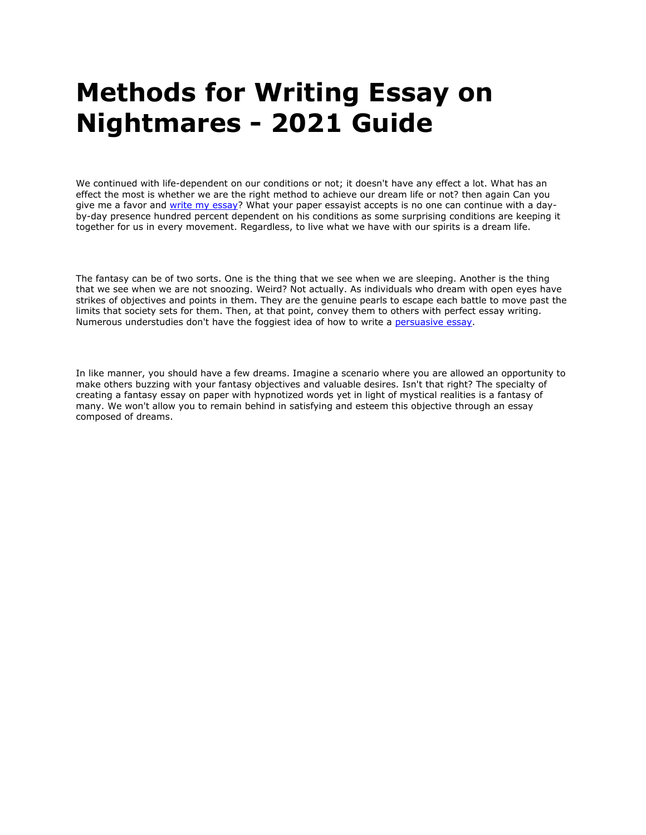# **Methods for Writing Essay on Nightmares - 2021 Guide**

We continued with life-dependent on our conditions or not; it doesn't have any effect a lot. What has an effect the most is whether we are the right method to achieve our dream life or not? then again Can you give me a favor and write my essay? What your paper essayist accepts is no one can continue with a dayby-day presence hundred percent dependent on his conditions as some surprising conditions are keeping it together for us in every movement. Regardless, to live what we have with our spirits is a dream life.

The fantasy can be of two sorts. One is the thing that we see when we are sleeping. Another is the thing that we see when we are not snoozing. Weird? Not actually. As individuals who dream with open eyes have strikes of objectives and points in them. They are the genuine pearls to escape each battle to move past the limits that society sets for them. Then, at that point, convey them to others with perfect essay writing. Numerous understudies don't have the foggiest idea of how to write a persuasive essay.

In like manner, you should have a few dreams. Imagine a scenario where you are allowed an opportunity to make others buzzing with your fantasy objectives and valuable desires. Isn't that right? The specialty of creating a fantasy essay on paper with hypnotized words yet in light of mystical realities is a fantasy of many. We won't allow you to remain behind in satisfying and esteem this objective through an essay composed of dreams.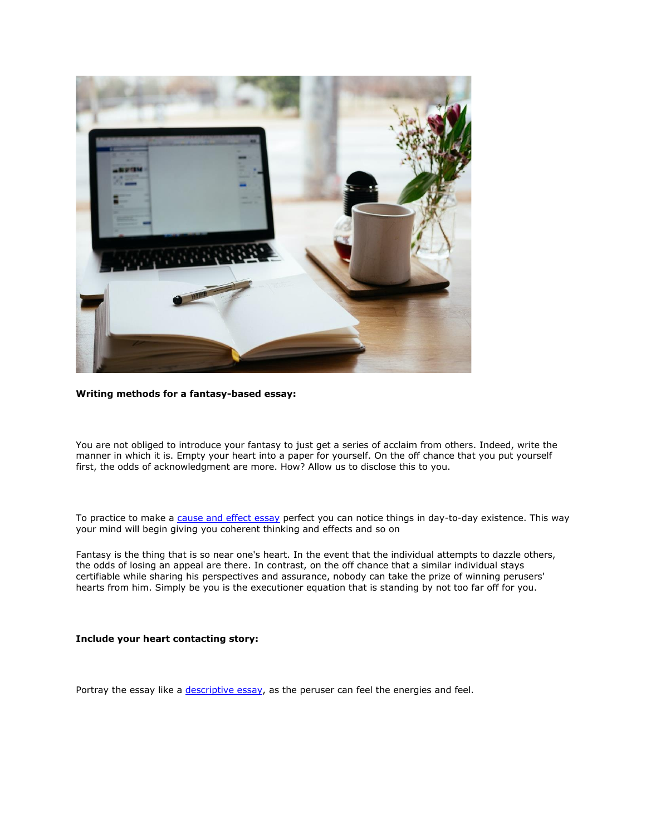

## **Writing methods for a fantasy-based essay:**

### You are not obliged to introduce your fantasy to just get a series of acclaim from others. Indeed, write the manner in which it is. Empty your heart into a paper for yourself. On the off chance that you put yourself first, the odds of acknowledgment are more. How? Allow us to disclose this to you.

To practice to make a cause and effect essay perfect you can notice things in day-to-day existence. This way your mind will begin giving you coherent thinking and effects and so on

Fantasy is the thing that is so near one's heart. In the event that the individual attempts to dazzle others, the odds of losing an appeal are there. In contrast, on the off chance that a similar individual stays certifiable while sharing his perspectives and assurance, nobody can take the prize of winning perusers' hearts from him. Simply be you is the executioner equation that is standing by not too far off for you.

## **Include your heart contacting story:**

Portray the essay like a descriptive essay, as the peruser can feel the energies and feel.